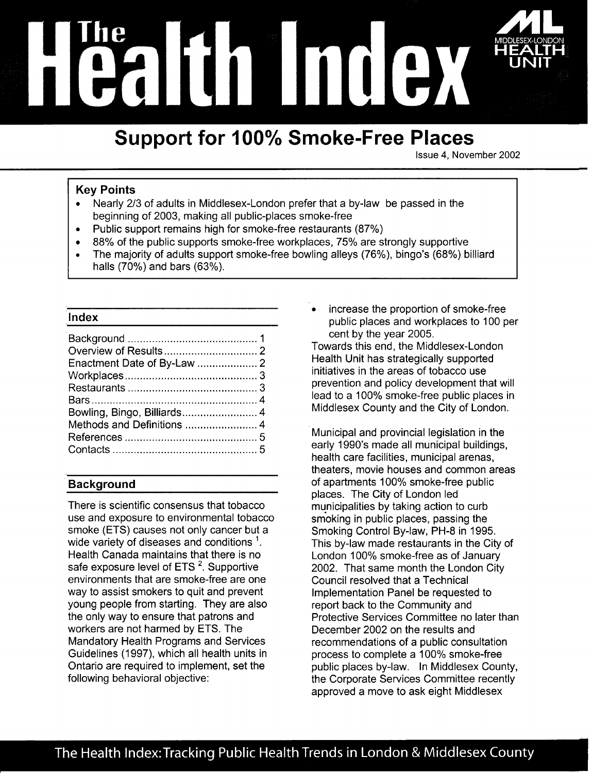

# **Support for 100% Smoke-Free Places**

Issue 4. November 2002

# **Kev Points**

- Nearly 2/3 of adults in Middlesex-London prefer that a by-law be passed in the beginning of 2003, making all public-places smoke-free
- Public support remains high for smoke-free restaurants (87%)  $\bullet$
- 88% of the public supports smoke-free workplaces, 75% are strongly supportive  $\bullet$
- The majority of adults support smoke-free bowling alleys (76%), bingo's (68%) billiard halls (70%) and bars (63%).

### Index

# **Background**

There is scientific consensus that tobacco use and exposure to environmental tobacco smoke (ETS) causes not only cancer but a wide variety of diseases and conditions<sup>1</sup>. Health Canada maintains that there is no safe exposure level of ETS<sup>2</sup>. Supportive environments that are smoke-free are one way to assist smokers to quit and prevent young people from starting. They are also the only way to ensure that patrons and workers are not harmed by ETS. The Mandatory Health Programs and Services Guidelines (1997), which all health units in Ontario are required to implement, set the following behavioral objective:

increase the proportion of smoke-free public places and workplaces to 100 per cent by the year 2005.

Towards this end, the Middlesex-London Health Unit has strategically supported initiatives in the areas of tobacco use prevention and policy development that will lead to a 100% smoke-free public places in Middlesex County and the City of London.

Municipal and provincial legislation in the early 1990's made all municipal buildings. health care facilities, municipal arenas, theaters, movie houses and common areas of apartments 100% smoke-free public places. The City of London led municipalities by taking action to curb smoking in public places, passing the Smoking Control By-law, PH-8 in 1995. This by-law made restaurants in the City of London 100% smoke-free as of January 2002. That same month the London City Council resolved that a Technical Implementation Panel be requested to report back to the Community and Protective Services Committee no later than December 2002 on the results and recommendations of a public consultation process to complete a 100% smoke-free public places by-law. In Middlesex County, the Corporate Services Committee recently approved a move to ask eight Middlesex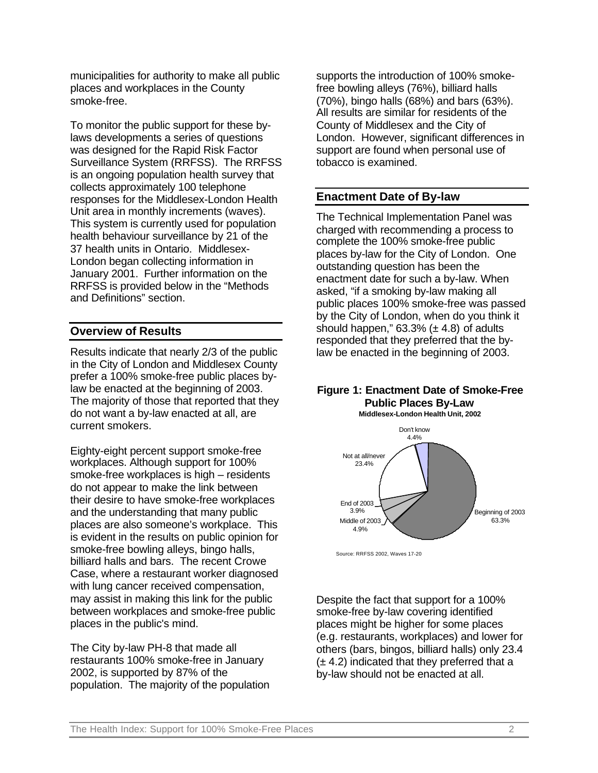municipalities for authority to make all public places and workplaces in the County smoke-free.

To monitor the public support for these bylaws developments a series of questions was designed for the Rapid Risk Factor Surveillance System (RRFSS). The RRFSS is an ongoing population health survey that collects approximately 100 telephone responses for the Middlesex-London Health Unit area in monthly increments (waves). This system is currently used for population health behaviour surveillance by 21 of the 37 health units in Ontario. Middlesex-London began collecting information in January 2001. Further information on the RRFSS is provided below in the "Methods and Definitions" section.

# **Overview of Results**

Results indicate that nearly 2/3 of the public in the City of London and Middlesex County prefer a 100% smoke-free public places bylaw be enacted at the beginning of 2003. The majority of those that reported that they do not want a by-law enacted at all, are current smokers.

Eighty-eight percent support smoke-free workplaces. Although support for 100% smoke-free workplaces is high – residents do not appear to make the link between their desire to have smoke-free workplaces and the understanding that many public places are also someone's workplace. This is evident in the results on public opinion for smoke-free bowling alleys, bingo halls, billiard halls and bars. The recent Crowe Case, where a restaurant worker diagnosed with lung cancer received compensation, may assist in making this link for the public between workplaces and smoke-free public places in the public's mind.

The City by-law PH-8 that made all restaurants 100% smoke-free in January 2002, is supported by 87% of the population. The majority of the population supports the introduction of 100% smokefree bowling alleys (76%), billiard halls (70%), bingo halls (68%) and bars (63%). All results are similar for residents of the County of Middlesex and the City of London. However, significant differences in support are found when personal use of tobacco is examined.

# **Enactment Date of By-law**

The Technical Implementation Panel was charged with recommending a process to complete the 100% smoke-free public places by-law for the City of London. One outstanding question has been the enactment date for such a by-law. When asked, "if a smoking by-law making all public places 100% smoke-free was passed by the City of London, when do you think it should happen."  $63.3\%$  ( $\pm$  4.8) of adults responded that they preferred that the bylaw be enacted in the beginning of 2003.

#### **Figure 1: Enactment Date of Smoke-Free Public Places By-Law Middlesex-London Health Unit, 2002**



Source: RRFSS 2002, Waves 17-20

Despite the fact that support for a 100% smoke-free by-law covering identified places might be higher for some places (e.g. restaurants, workplaces) and lower for others (bars, bingos, billiard halls) only 23.4  $(\pm 4.2)$  indicated that they preferred that a by-law should not be enacted at all.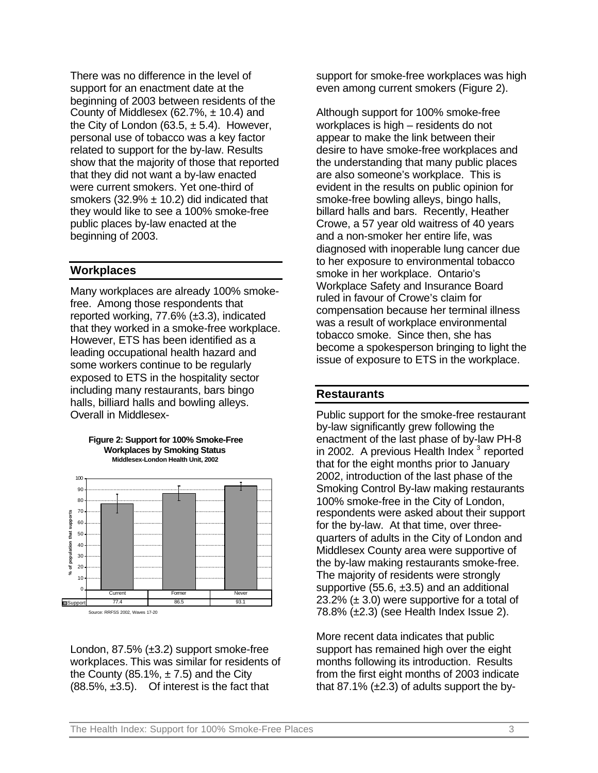There was no difference in the level of support for an enactment date at the beginning of 2003 between residents of the County of Middlesex (62.7%,  $\pm$  10.4) and the City of London (63.5,  $\pm$  5.4). However, personal use of tobacco was a key factor related to support for the by-law. Results show that the majority of those that reported that they did not want a by-law enacted were current smokers. Yet one-third of smokers  $(32.9% \pm 10.2)$  did indicated that they would like to see a 100% smoke-free public places by-law enacted at the beginning of 2003.

### **Workplaces**

Many workplaces are already 100% smokefree. Among those respondents that reported working, 77.6% (±3.3), indicated that they worked in a smoke-free workplace. However, ETS has been identified as a leading occupational health hazard and some workers continue to be regularly exposed to ETS in the hospitality sector including many restaurants, bars bingo halls, billiard halls and bowling alleys. Overall in Middlesex-



**Figure 2: Support for 100% Smoke-Free Workplaces by Smoking Status Middlesex-London Health Unit, 2002**

London, 87.5% (±3.2) support smoke-free workplaces. This was similar for residents of the County (85.1%,  $\pm$  7.5) and the City (88.5%, ±3.5). Of interest is the fact that

support for smoke-free workplaces was high even among current smokers (Figure 2).

Although support for 100% smoke-free workplaces is high – residents do not appear to make the link between their desire to have smoke-free workplaces and the understanding that many public places are also someone's workplace. This is evident in the results on public opinion for smoke-free bowling alleys, bingo halls, billard halls and bars. Recently, Heather Crowe, a 57 year old waitress of 40 years and a non-smoker her entire life, was diagnosed with inoperable lung cancer due to her exposure to environmental tobacco smoke in her workplace. Ontario's Workplace Safety and Insurance Board ruled in favour of Crowe's claim for compensation because her terminal illness was a result of workplace environmental tobacco smoke. Since then, she has become a spokesperson bringing to light the issue of exposure to ETS in the workplace.

### **Restaurants**

Public support for the smoke-free restaurant by-law significantly grew following the enactment of the last phase of by-law PH-8 in 2002. A previous Health Index  $3$  reported that for the eight months prior to January 2002, introduction of the last phase of the Smoking Control By-law making restaurants 100% smoke-free in the City of London, respondents were asked about their support for the by-law. At that time, over threequarters of adults in the City of London and Middlesex County area were supportive of the by-law making restaurants smoke-free. The majority of residents were strongly supportive  $(55.6, \pm 3.5)$  and an additional  $23.2\%$  ( $\pm$  3.0) were supportive for a total of  $78.8\%$   $(\pm 2.3)$  (see Health Index Issue 2).

More recent data indicates that public support has remained high over the eight months following its introduction. Results from the first eight months of 2003 indicate that 87.1%  $(\pm 2.3)$  of adults support the by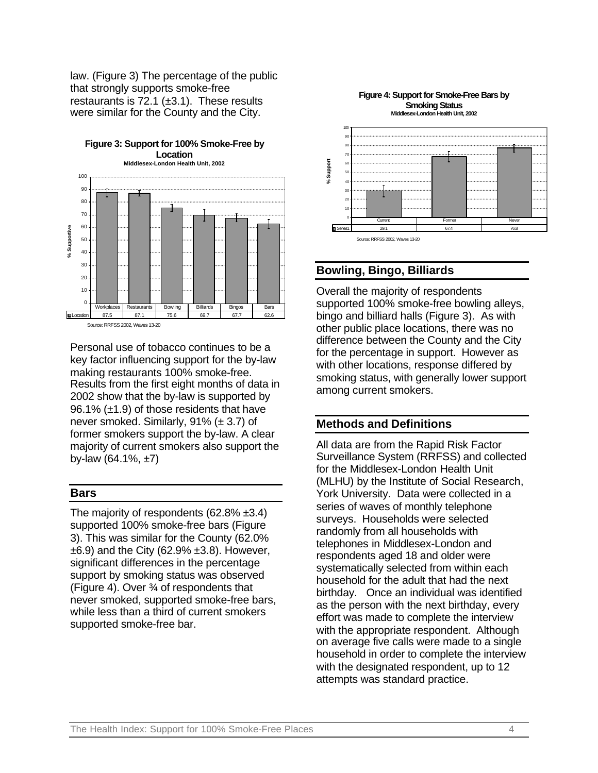law. (Figure 3) The percentage of the public that strongly supports smoke-free restaurants is  $72.1$  ( $\pm$ 3.1). These results were similar for the County and the City.

**Figure 3: Support for 100% Smoke-Free by** 



Source: RRFSS 2002, Waves 13-20

Personal use of tobacco continues to be a key factor influencing support for the by-law making restaurants 100% smoke-free. Results from the first eight months of data in 2002 show that the by-law is supported by 96.1% (±1.9) of those residents that have never smoked. Similarly, 91% (± 3.7) of former smokers support the by-law. A clear majority of current smokers also support the by-law  $(64.1\%, \pm 7)$ 

#### **Bars**

The majority of respondents (62.8% ±3.4) supported 100% smoke-free bars (Figure 3). This was similar for the County (62.0%  $\pm 6.9$ ) and the City (62.9%  $\pm 3.8$ ). However, significant differences in the percentage support by smoking status was observed (Figure 4). Over ¾ of respondents that never smoked, supported smoke-free bars, while less than a third of current smokers supported smoke-free bar.



#### **Figure 4: Support for Smoke-Free Bars by Smoking Status**

# **Bowling, Bingo, Billiards**

Overall the majority of respondents supported 100% smoke-free bowling alleys, bingo and billiard halls (Figure 3). As with other public place locations, there was no difference between the County and the City for the percentage in support. However as with other locations, response differed by smoking status, with generally lower support among current smokers.

# **Methods and Definitions**

All data are from the Rapid Risk Factor Surveillance System (RRFSS) and collected for the Middlesex-London Health Unit (MLHU) by the Institute of Social Research, York University. Data were collected in a series of waves of monthly telephone surveys. Households were selected randomly from all households with telephones in Middlesex-London and respondents aged 18 and older were systematically selected from within each household for the adult that had the next birthday. Once an individual was identified as the person with the next birthday, every effort was made to complete the interview with the appropriate respondent. Although on average five calls were made to a single household in order to complete the interview with the designated respondent, up to 12 attempts was standard practice.